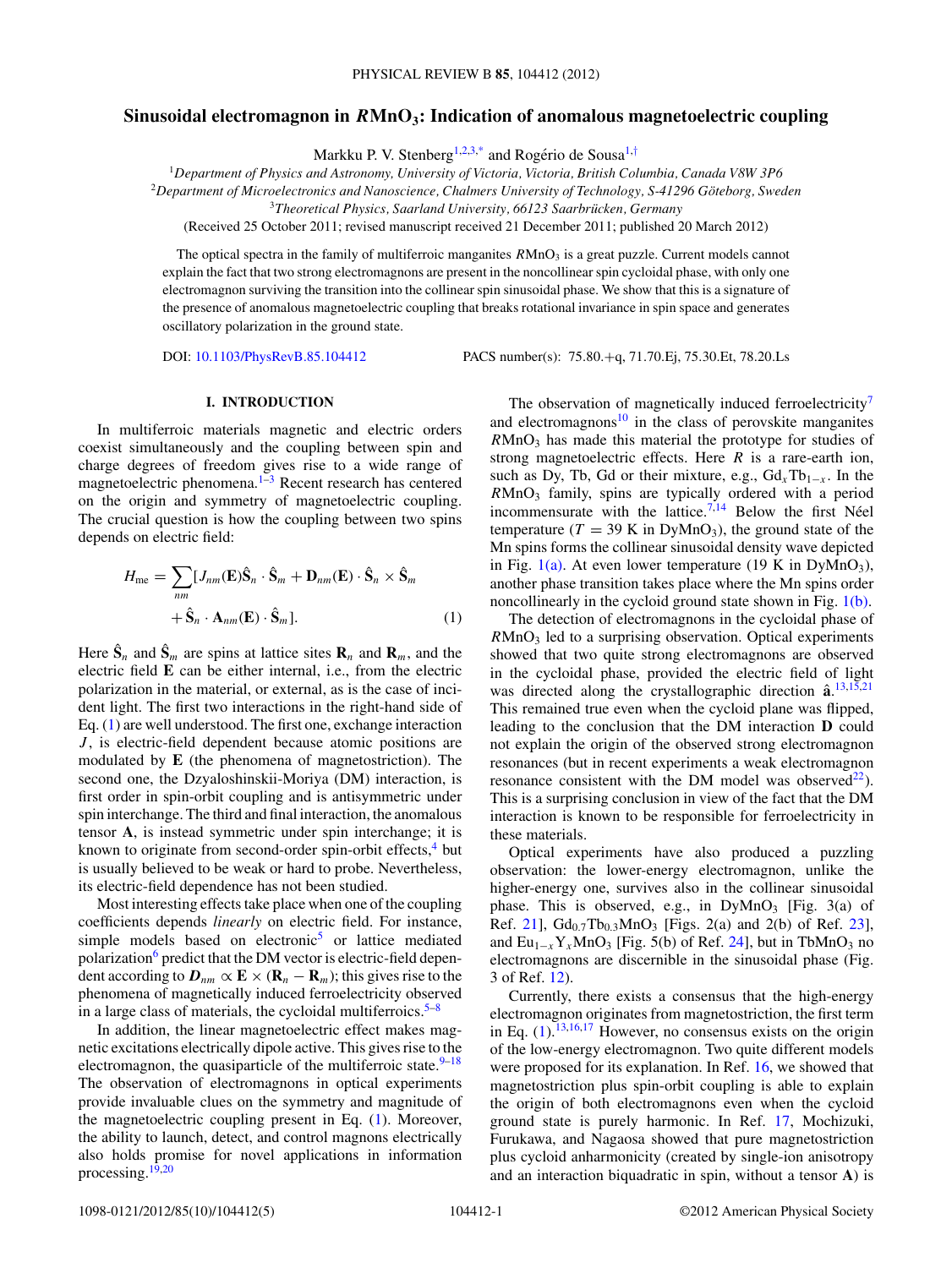# <span id="page-0-0"></span>**Sinusoidal electromagnon in** *R***MnO3: Indication of anomalous magnetoelectric coupling**

Markku P. V. Stenberg<sup>1,2,3[,\\*](#page-3-0)</sup> and Rogério de Sousa<sup>1,[†](#page-3-0)</sup>

<sup>1</sup>*Department of Physics and Astronomy, University of Victoria, Victoria, British Columbia, Canada V8W 3P6*

<sup>2</sup>Department of Microelectronics and Nanoscience, Chalmers University of Technology, S-41296 Göteborg, Sweden

<sup>3</sup>*Theoretical Physics, Saarland University, 66123 Saarbrucken, Germany ¨*

(Received 25 October 2011; revised manuscript received 21 December 2011; published 20 March 2012)

The optical spectra in the family of multiferroic manganites  $RMD_3$  is a great puzzle. Current models cannot explain the fact that two strong electromagnons are present in the noncollinear spin cycloidal phase, with only one electromagnon surviving the transition into the collinear spin sinusoidal phase. We show that this is a signature of the presence of anomalous magnetoelectric coupling that breaks rotational invariance in spin space and generates oscillatory polarization in the ground state.

DOI: [10.1103/PhysRevB.85.104412](http://dx.doi.org/10.1103/PhysRevB.85.104412) PACS number(s): 75*.*80*.*+q, 71*.*70*.*Ej, 75*.*30*.*Et, 78*.*20*.*Ls

### **I. INTRODUCTION**

In multiferroic materials magnetic and electric orders coexist simultaneously and the coupling between spin and charge degrees of freedom gives rise to a wide range of magnetoelectric phenomena.<sup>[1–3](#page-3-0)</sup> Recent research has centered on the origin and symmetry of magnetoelectric coupling. The crucial question is how the coupling between two spins depends on electric field:

$$
H_{\text{me}} = \sum_{nm} [J_{nm}(\mathbf{E})\hat{\mathbf{S}}_n \cdot \hat{\mathbf{S}}_m + \mathbf{D}_{nm}(\mathbf{E}) \cdot \hat{\mathbf{S}}_n \times \hat{\mathbf{S}}_m
$$
  
+  $\hat{\mathbf{S}}_n \cdot \mathbf{A}_{nm}(\mathbf{E}) \cdot \hat{\mathbf{S}}_m$ ]. (1)

Here  $\hat{\mathbf{S}}_n$  and  $\hat{\mathbf{S}}_m$  are spins at lattice sites  $\mathbf{R}_n$  and  $\mathbf{R}_m$ , and the electric field **E** can be either internal, i.e., from the electric polarization in the material, or external, as is the case of incident light. The first two interactions in the right-hand side of Eq. (1) are well understood. The first one, exchange interaction *J*, is electric-field dependent because atomic positions are modulated by **E** (the phenomena of magnetostriction). The second one, the Dzyaloshinskii-Moriya (DM) interaction, is first order in spin-orbit coupling and is antisymmetric under spin interchange. The third and final interaction, the anomalous tensor **A**, is instead symmetric under spin interchange; it is known to originate from second-order spin-orbit effects, $4$  but is usually believed to be weak or hard to probe. Nevertheless, its electric-field dependence has not been studied.

Most interesting effects take place when one of the coupling coefficients depends *linearly* on electric field. For instance, simple models based on electronic<sup>5</sup> or lattice mediated polarization<sup>6</sup> predict that the DM vector is electric-field dependent according to  $D_{nm} \propto \mathbf{E} \times (\mathbf{R}_n - \mathbf{R}_m)$ ; this gives rise to the phenomena of magnetically induced ferroelectricity observed in a large class of materials, the cycloidal multiferroics. $5-8$ 

In addition, the linear magnetoelectric effect makes magnetic excitations electrically dipole active. This gives rise to the electromagnon, the quasiparticle of the multiferroic state.  $9-18$ The observation of electromagnons in optical experiments provide invaluable clues on the symmetry and magnitude of the magnetoelectric coupling present in Eq. (1). Moreover, the ability to launch, detect, and control magnons electrically also holds promise for novel applications in information processing[.19,20](#page-3-0)

The observation of magnetically induced ferroelectricity<sup>7</sup> and electromagnons<sup>[10](#page-3-0)</sup> in the class of perovskite manganites  $R$ MnO<sub>3</sub> has made this material the prototype for studies of strong magnetoelectric effects. Here *R* is a rare-earth ion, such as Dy, Tb, Gd or their mixture, e.g.,  $Gd_xTb_{1-x}$ . In the  $R$ MnO<sub>3</sub> family, spins are typically ordered with a period incommensurate with the lattice.<sup>7,14</sup> Below the first Néel temperature ( $T = 39$  K in DyMnO<sub>3</sub>), the ground state of the Mn spins forms the collinear sinusoidal density wave depicted in Fig. [1\(a\).](#page-1-0) At even lower temperature (19 K in DyMnO<sub>3</sub>), another phase transition takes place where the Mn spins order noncollinearly in the cycloid ground state shown in Fig. [1\(b\).](#page-1-0)

The detection of electromagnons in the cycloidal phase of  $RMnO<sub>3</sub>$  led to a surprising observation. Optical experiments showed that two quite strong electromagnons are observed in the cycloidal phase, provided the electric field of light was directed along the crystallographic direction  $\hat{a}^{13,15,21}$  $\hat{a}^{13,15,21}$  $\hat{a}^{13,15,21}$ This remained true even when the cycloid plane was flipped, leading to the conclusion that the DM interaction **D** could not explain the origin of the observed strong electromagnon resonances (but in recent experiments a weak electromagnon resonance consistent with the DM model was observed $^{22}$ ). This is a surprising conclusion in view of the fact that the DM interaction is known to be responsible for ferroelectricity in these materials.

Optical experiments have also produced a puzzling observation: the lower-energy electromagnon, unlike the higher-energy one, survives also in the collinear sinusoidal phase. This is observed, e.g., in  $DyMnO<sub>3</sub>$  [Fig. 3(a) of Ref. [21\]](#page-3-0),  $Gd_{0.7}Tb_{0.3}MnO_3$  [Figs. 2(a) and 2(b) of Ref. [23\]](#page-4-0), and  $Eu_{1-x}Y_xMnO_3$  [Fig. 5(b) of Ref. [24\]](#page-4-0), but in TbMnO<sub>3</sub> no electromagnons are discernible in the sinusoidal phase (Fig. 3 of Ref. [12\)](#page-3-0).

Currently, there exists a consensus that the high-energy electromagnon originates from magnetostriction, the first term in Eq.  $(1)$ .<sup>[13,16,17](#page-3-0)</sup> However, no consensus exists on the origin of the low-energy electromagnon. Two quite different models were proposed for its explanation. In Ref. [16,](#page-3-0) we showed that magnetostriction plus spin-orbit coupling is able to explain the origin of both electromagnons even when the cycloid ground state is purely harmonic. In Ref. [17,](#page-3-0) Mochizuki, Furukawa, and Nagaosa showed that pure magnetostriction plus cycloid anharmonicity (created by single-ion anisotropy and an interaction biquadratic in spin, without a tensor **A**) is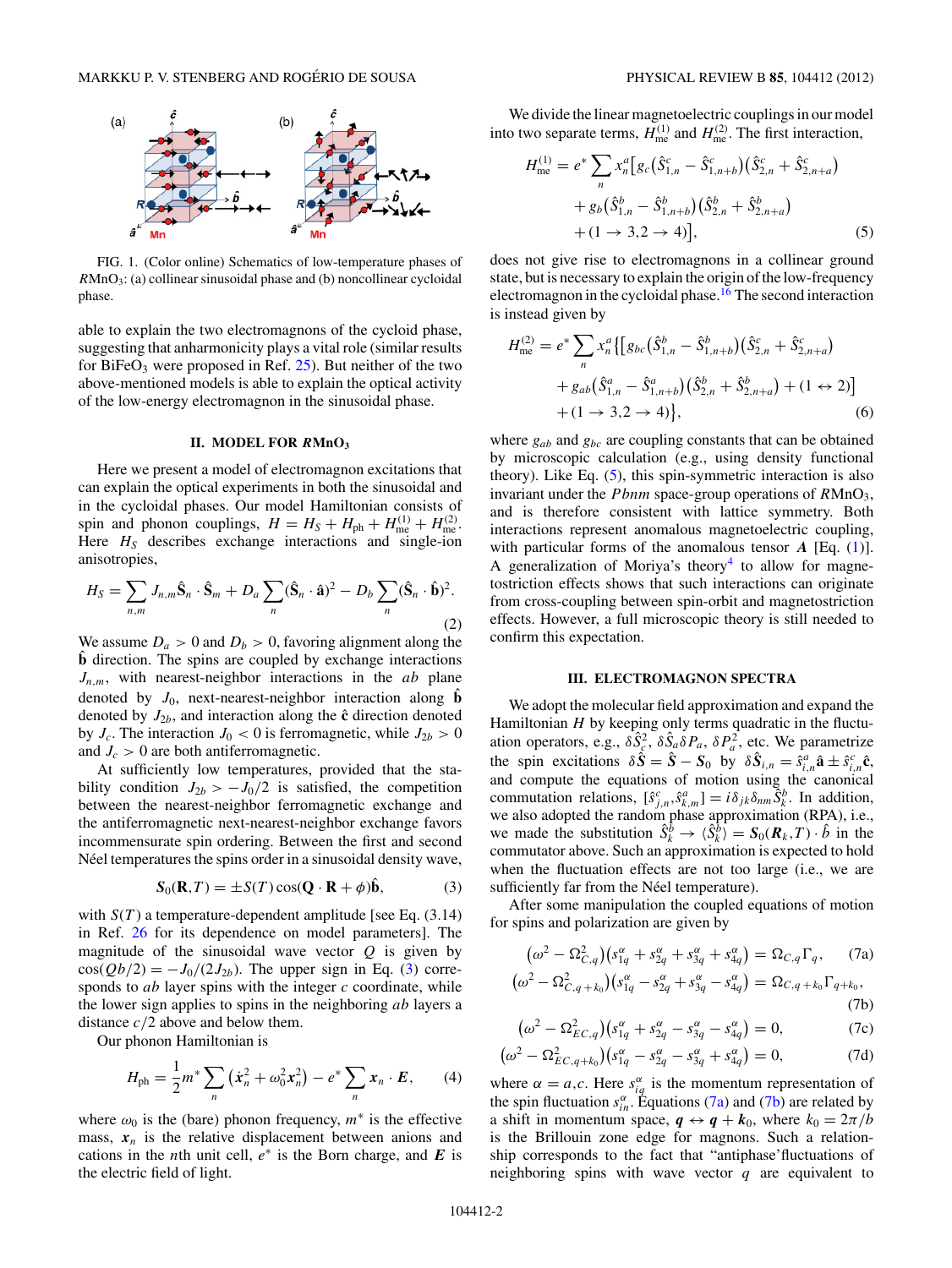<span id="page-1-0"></span>

FIG. 1. (Color online) Schematics of low-temperature phases of  $RMnO<sub>3</sub>$ : (a) collinear sinusoidal phase and (b) noncollinear cycloidal phase.

able to explain the two electromagnons of the cycloid phase, suggesting that anharmonicity plays a vital role (similar results for BiFeO<sub>3</sub> were proposed in Ref.  $25$ ). But neither of the two above-mentioned models is able to explain the optical activity of the low-energy electromagnon in the sinusoidal phase.

### **II. MODEL FOR** *R***MnO3**

Here we present a model of electromagnon excitations that can explain the optical experiments in both the sinusoidal and in the cycloidal phases. Our model Hamiltonian consists of spin and phonon couplings,  $H = H_S + H_{ph} + H_{me}^{(1)} + H_{me}^{(2)}$ . Here  $H<sub>S</sub>$  describes exchange interactions and single-ion anisotropies,

$$
H_S = \sum_{n,m} J_{n,m} \hat{\mathbf{S}}_n \cdot \hat{\mathbf{S}}_m + D_a \sum_n (\hat{\mathbf{S}}_n \cdot \hat{\mathbf{a}})^2 - D_b \sum_n (\hat{\mathbf{S}}_n \cdot \hat{\mathbf{b}})^2.
$$
\n(2)

We assume  $D_a > 0$  and  $D_b > 0$ , favoring alignment along the **b** direction. The spins are coupled by exchange interactions *Jn,m*, with nearest-neighbor interactions in the *ab* plane denoted by  $J_0$ , next-nearest-neighbor interaction along **b** denoted by  $J_{2b}$ , and interaction along the  $\hat{c}$  direction denoted by  $J_c$ . The interaction  $J_0 < 0$  is ferromagnetic, while  $J_{2b} > 0$ and  $J_c > 0$  are both antiferromagnetic.

At sufficiently low temperatures, provided that the stability condition  $J_{2b}$  >  $-J_0/2$  is satisfied, the competition between the nearest-neighbor ferromagnetic exchange and the antiferromagnetic next-nearest-neighbor exchange favors incommensurate spin ordering. Between the first and second Néel temperatures the spins order in a sinusoidal density wave,

$$
S_0(\mathbf{R}, T) = \pm S(T) \cos(\mathbf{Q} \cdot \mathbf{R} + \phi) \hat{\mathbf{b}},
$$
 (3)

with  $S(T)$  a temperature-dependent amplitude [see Eq.  $(3.14)$ ] in Ref. [26](#page-4-0) for its dependence on model parameters]. The magnitude of the sinusoidal wave vector  $Q$  is given by  $cos(Qb/2) = -J_0/(2J_{2b})$ . The upper sign in Eq. (3) corresponds to *ab* layer spins with the integer *c* coordinate, while the lower sign applies to spins in the neighboring *ab* layers a distance *c/*2 above and below them.

Our phonon Hamiltonian is

$$
H_{\rm ph} = \frac{1}{2} m^* \sum_{n} (\dot{x}_n^2 + \omega_0^2 x_n^2) - e^* \sum_{n} x_n \cdot E, \qquad (4)
$$

where  $\omega_0$  is the (bare) phonon frequency,  $m^*$  is the effective mass,  $x_n$  is the relative displacement between anions and cations in the *n*th unit cell,  $e^*$  is the Born charge, and  $E$  is the electric field of light.

We divide the linear magnetoelectric couplings in our model into two separate terms,  $H_{\text{me}}^{(1)}$  and  $H_{\text{me}}^{(2)}$ . The first interaction,

$$
H_{\text{me}}^{(1)} = e^* \sum_{n} x_n^a \left[ g_c \left( \hat{S}_{1,n}^c - \hat{S}_{1,n+b}^c \right) \left( \hat{S}_{2,n}^c + \hat{S}_{2,n+a}^c \right) \right. \\ \left. + g_b \left( \hat{S}_{1,n}^b - \hat{S}_{1,n+b}^b \right) \left( \hat{S}_{2,n}^b + \hat{S}_{2,n+a}^b \right) \right. \\ \left. + (1 \to 3, 2 \to 4) \right], \tag{5}
$$

does not give rise to electromagnons in a collinear ground state, but is necessary to explain the origin of the low-frequency electromagnon in the cycloidal phase.<sup>16</sup> The second interaction is instead given by

$$
H_{\text{me}}^{(2)} = e^* \sum_{n} x_n^a \{ [g_{bc} (\hat{S}_{1,n}^b - \hat{S}_{1,n+b}^b) (\hat{S}_{2,n}^c + \hat{S}_{2,n+a}^c) + g_{ab} (\hat{S}_{1,n}^a - \hat{S}_{1,n+b}^a) (\hat{S}_{2,n}^b + \hat{S}_{2,n+a}^b) + (1 \leftrightarrow 2) \} + (1 \rightarrow 3,2 \rightarrow 4) \}, \tag{6}
$$

where *gab* and *gbc* are coupling constants that can be obtained by microscopic calculation (e.g., using density functional theory). Like Eq.  $(5)$ , this spin-symmetric interaction is also invariant under the *P bnm* space-group operations of *R*MnO<sub>3</sub>, and is therefore consistent with lattice symmetry. Both interactions represent anomalous magnetoelectric coupling, with particular forms of the anomalous tensor *A* [Eq. [\(1\)](#page-0-0)]. A generalization of Moriya's theory<sup>4</sup> to allow for magnetostriction effects shows that such interactions can originate from cross-coupling between spin-orbit and magnetostriction effects. However, a full microscopic theory is still needed to confirm this expectation.

#### **III. ELECTROMAGNON SPECTRA**

We adopt the molecular field approximation and expand the Hamiltonian *H* by keeping only terms quadratic in the fluctuation operators, e.g.,  $\delta \hat{S}_c^2$ ,  $\delta \hat{S}_a \delta P_a$ ,  $\delta P_a^2$ , etc. We parametrize the spin excitations  $\delta \hat{S} = \hat{S} - S_0$  by  $\delta \hat{S}_{i,n} = \hat{s}_{i,n}^a \hat{a} \pm \hat{s}_{i,n}^c \hat{c}$ , and compute the equations of motion using the canonical commutation relations,  $[\hat{s}_{j,n}^c, \hat{s}_{k,m}^a] = i\delta_{jk}\delta_{nm}\hat{\check{S}}_k^b$ . In addition, we also adopted the random phase approximation (RPA), i.e., we made the substitution  $\hat{S}_k^{\hat{b}} \to \langle \hat{S}_k^{\hat{b}} \rangle = S_0(R_k, T) \cdot \hat{b}$  in the commutator above. Such an approximation is expected to hold when the fluctuation effects are not too large (i.e., we are sufficiently far from the Néel temperature).

After some manipulation the coupled equations of motion for spins and polarization are given by

$$
\left(\omega^2 - \Omega_{C,q}^2\right) \left(s_{1q}^\alpha + s_{2q}^\alpha + s_{3q}^\alpha + s_{4q}^\alpha\right) = \Omega_{C,q} \Gamma_q, \qquad (7a)
$$

$$
(\omega^2 - \Omega_{C,q+k_0}^2)(s_{1q}^\alpha - s_{2q}^\alpha + s_{3q}^\alpha - s_{4q}^\alpha) = \Omega_{C,q+k_0} \Gamma_{q+k_0},
$$
\n(7b)

$$
(\omega^2 - \Omega_{EC,q}^2)(s_{1q}^\alpha + s_{2q}^\alpha - s_{3q}^\alpha - s_{4q}^\alpha) = 0, \tag{7c}
$$

$$
\left(\omega^2 - \Omega_{EC,q+k_0}^2\right) \left(s_{1q}^\alpha - s_{2q}^\alpha - s_{3q}^\alpha + s_{4q}^\alpha\right) = 0,\tag{7d}
$$

where  $\alpha = a, c$ . Here  $s_{iq}^{\alpha}$  is the momentum representation of the spin fluctuation  $s_{in}^{\alpha}$ . Equations (7a) and (7b) are related by a shift in momentum space,  $q \leftrightarrow q + k_0$ , where  $k_0 = 2\pi/b$ is the Brillouin zone edge for magnons. Such a relationship corresponds to the fact that "antiphase'fluctuations of neighboring spins with wave vector *q* are equivalent to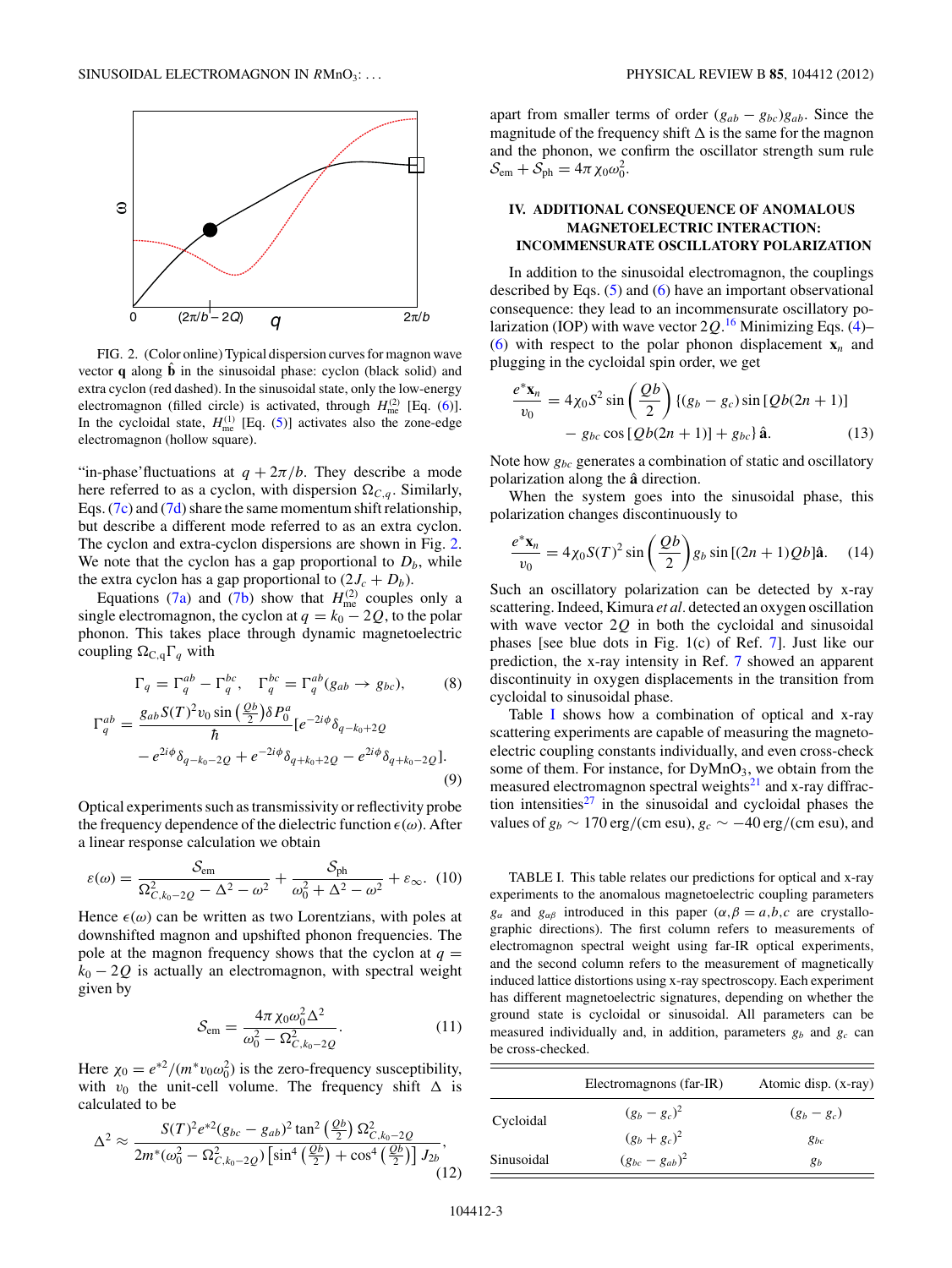<span id="page-2-0"></span>

FIG. 2. (Color online) Typical dispersion curves for magnon wave vector **q** along  $\hat{\mathbf{b}}$  in the sinusoidal phase: cyclon (black solid) and extra cyclon (red dashed). In the sinusoidal state, only the low-energy electromagnon (filled circle) is activated, through  $H_{\text{me}}^{(2)}$  [Eq. [\(6\)](#page-1-0)]. In the cycloidal state,  $H_{\text{me}}^{(1)}$  [Eq. [\(5\)](#page-1-0)] activates also the zone-edge electromagnon (hollow square).

"in-phase'fluctuations at  $q + 2\pi/b$ . They describe a mode here referred to as a cyclon, with dispersion  $\Omega_{C,q}$ . Similarly, Eqs. [\(7c\)](#page-1-0) and [\(7d\)](#page-1-0) share the same momentum shift relationship, but describe a different mode referred to as an extra cyclon. The cyclon and extra-cyclon dispersions are shown in Fig. 2. We note that the cyclon has a gap proportional to  $D<sub>b</sub>$ , while the extra cyclon has a gap proportional to  $(2J_c + D_b)$ .

Equations [\(7a\)](#page-1-0) and [\(7b\)](#page-1-0) show that  $H_{\text{me}}^{(2)}$  couples only a single electromagnon, the cyclon at  $q = k_0 - 2Q$ , to the polar phonon. This takes place through dynamic magnetoelectric coupling  $\Omega_{C,q}\Gamma_q$  with

$$
\Gamma_q = \Gamma_q^{ab} - \Gamma_q^{bc}, \quad \Gamma_q^{bc} = \Gamma_q^{ab}(g_{ab} \to g_{bc}), \tag{8}
$$

$$
\Gamma_q^{ab} = \frac{g_{ab} S(T)^2 v_0 \sin\left(\frac{Qb}{2}\right) \delta P_0^a}{\hbar} \left[ e^{-2i\phi} \delta_{q-k_0+2Q} \right.\n\left. - e^{2i\phi} \delta_{q-k_0-2Q} + e^{-2i\phi} \delta_{q+k_0+2Q} - e^{2i\phi} \delta_{q+k_0-2Q} \right].
$$
\n(9)

Optical experiments such as transmissivity or reflectivity probe the frequency dependence of the dielectric function  $\epsilon(\omega)$ . After a linear response calculation we obtain

$$
\varepsilon(\omega) = \frac{\mathcal{S}_{\text{em}}}{\Omega_{C,k_0-2Q}^2 - \Delta^2 - \omega^2} + \frac{\mathcal{S}_{\text{ph}}}{\omega_0^2 + \Delta^2 - \omega^2} + \varepsilon_{\infty}.
$$
 (10)

Hence  $\epsilon(\omega)$  can be written as two Lorentzians, with poles at downshifted magnon and upshifted phonon frequencies. The pole at the magnon frequency shows that the cyclon at  $q =$  $k_0 - 2Q$  is actually an electromagnon, with spectral weight given by

$$
S_{\rm em} = \frac{4\pi \,\chi_0 \omega_0^2 \Delta^2}{\omega_0^2 - \Omega_{C,k_0-2Q}^2}.
$$
 (11)

Here  $\chi_0 = e^{*2} / (m^* v_0 \omega_0^2)$  is the zero-frequency susceptibility, with  $v_0$  the unit-cell volume. The frequency shift  $\Delta$  is calculated to be

$$
\Delta^2 \approx \frac{S(T)^2 e^{*2} (g_{bc} - g_{ab})^2 \tan^2\left(\frac{Qb}{2}\right) \Omega_{C,k_0 - 2Q}^2}{2m^*(\omega_0^2 - \Omega_{C,k_0 - 2Q}^2) \left[\sin^4\left(\frac{Qb}{2}\right) + \cos^4\left(\frac{Qb}{2}\right)\right] J_{2b}},\tag{12}
$$

apart from smaller terms of order  $(g_{ab} - g_{bc})g_{ab}$ . Since the magnitude of the frequency shift  $\Delta$  is the same for the magnon and the phonon, we confirm the oscillator strength sum rule  $\mathcal{S}_{em} + \mathcal{S}_{ph} = 4\pi \chi_0 \omega_0^2.$ 

# **IV. ADDITIONAL CONSEQUENCE OF ANOMALOUS MAGNETOELECTRIC INTERACTION: INCOMMENSURATE OSCILLATORY POLARIZATION**

In addition to the sinusoidal electromagnon, the couplings described by Eqs. [\(5\)](#page-1-0) and [\(6\)](#page-1-0) have an important observational consequence: they lead to an incommensurate oscillatory polarization (IOP) with wave vector 2*Q*. [16](#page-3-0) Minimizing Eqs. [\(4\)](#page-1-0)– [\(6\)](#page-1-0) with respect to the polar phonon displacement  $\mathbf{x}_n$  and plugging in the cycloidal spin order, we get

$$
\frac{e^* \mathbf{x}_n}{v_0} = 4 \chi_0 S^2 \sin\left(\frac{Qb}{2}\right) \{ (g_b - g_c) \sin\left[Qb(2n+1)\right] - g_{bc} \cos\left[Qb(2n+1)\right] + g_{bc} \} \hat{\mathbf{a}}.
$$
 (13)

Note how *gbc* generates a combination of static and oscillatory polarization along the  $\hat{a}$  direction.

When the system goes into the sinusoidal phase, this polarization changes discontinuously to

$$
\frac{e^* \mathbf{x}_n}{v_0} = 4 \chi_0 S(T)^2 \sin\left(\frac{Qb}{2}\right) g_b \sin\left[(2n+1)Qb\right] \hat{\mathbf{a}}.\tag{14}
$$

Such an oscillatory polarization can be detected by x-ray scattering. Indeed, Kimura *et al.* detected an oxygen oscillation with wave vector 2*Q* in both the cycloidal and sinusoidal phases [see blue dots in Fig. 1(c) of Ref. [7\]](#page-3-0). Just like our prediction, the x-ray intensity in Ref. [7](#page-3-0) showed an apparent discontinuity in oxygen displacements in the transition from cycloidal to sinusoidal phase.

Table I shows how a combination of optical and x-ray scattering experiments are capable of measuring the magnetoelectric coupling constants individually, and even cross-check some of them. For instance, for  $DyMnO<sub>3</sub>$ , we obtain from the measured electromagnon spectral weights $^{21}$  $^{21}$  $^{21}$  and x-ray diffraction intensities $27$  in the sinusoidal and cycloidal phases the values of  $g_b \sim 170 \text{ erg/(cm} \text{ esu)}$ ,  $g_c \sim -40 \text{ erg/(cm} \text{ esu)}$ , and

TABLE I. This table relates our predictions for optical and x-ray experiments to the anomalous magnetoelectric coupling parameters  $g_{\alpha}$  and  $g_{\alpha\beta}$  introduced in this paper ( $\alpha, \beta = a, b, c$  are crystallographic directions). The first column refers to measurements of electromagnon spectral weight using far-IR optical experiments, and the second column refers to the measurement of magnetically induced lattice distortions using x-ray spectroscopy. Each experiment has different magnetoelectric signatures, depending on whether the ground state is cycloidal or sinusoidal. All parameters can be measured individually and, in addition, parameters *gb* and *gc* can be cross-checked.

|            | Electromagnons (far-IR) | Atomic disp. (x-ray) |
|------------|-------------------------|----------------------|
| Cycloidal  | $(g_b - g_c)^2$         | $(g_b - g_c)$        |
|            | $(g_b + g_c)^2$         | $g_{bc}$             |
| Sinusoidal | $(g_{bc} - g_{ab})^2$   | $g_h$                |
|            |                         |                      |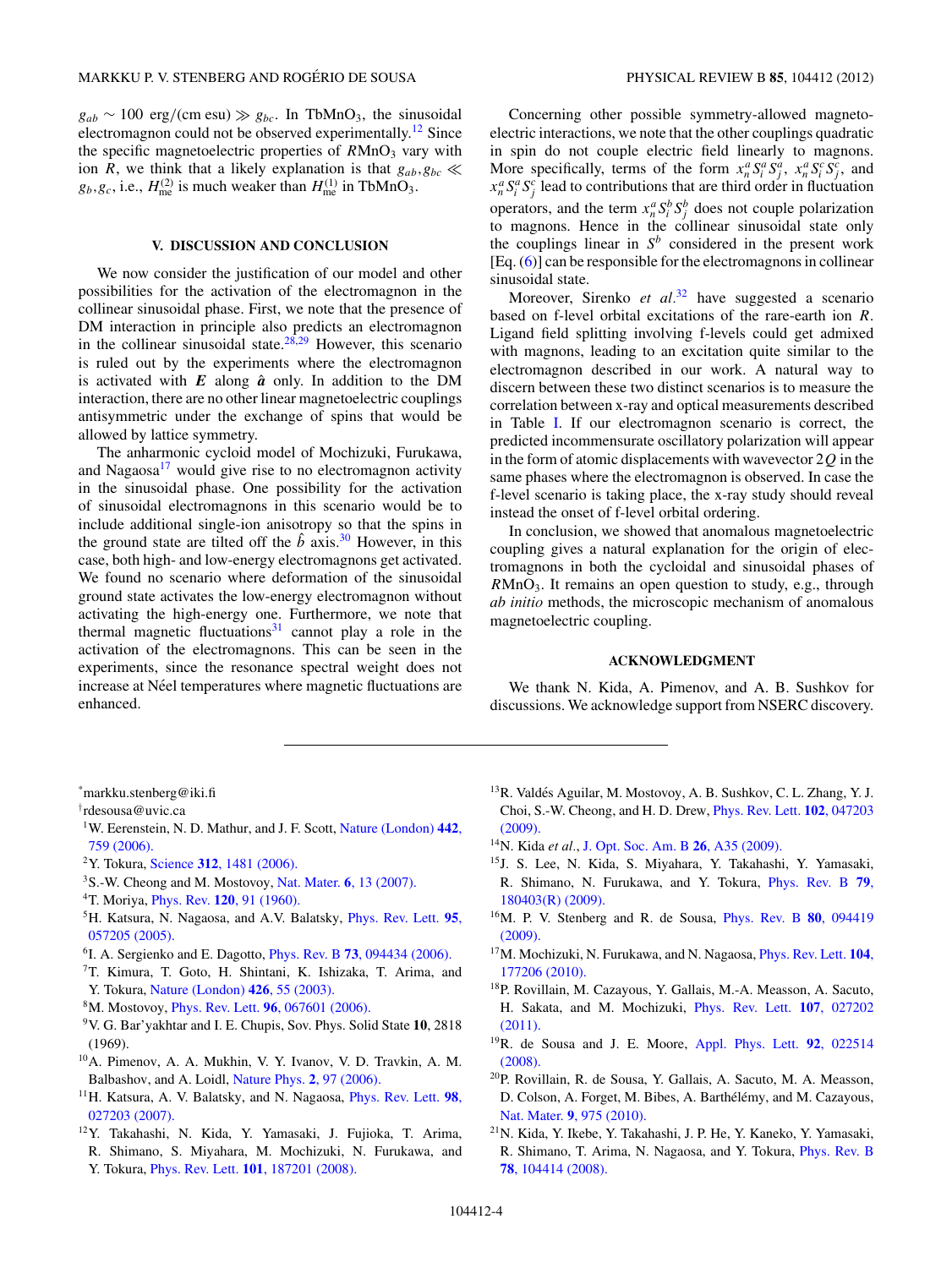<span id="page-3-0"></span> $g_{ab} \sim 100 \text{ erg/(cm} \text{ esu)} \gg g_{bc}$ . In TbMnO<sub>3</sub>, the sinusoidal electromagnon could not be observed experimentally.<sup>12</sup> Since the specific magnetoelectric properties of  $R M nO<sub>3</sub>$  vary with ion *R*, we think that a likely explanation is that  $g_{ab}, g_{bc} \ll$  $g_b, g_c$ , i.e.,  $H_{\text{me}}^{(2)}$  is much weaker than  $H_{\text{me}}^{(1)}$  in TbMnO<sub>3</sub>.

# **V. DISCUSSION AND CONCLUSION**

We now consider the justification of our model and other possibilities for the activation of the electromagnon in the collinear sinusoidal phase. First, we note that the presence of DM interaction in principle also predicts an electromagnon in the collinear sinusoidal state. $28,29$  However, this scenario is ruled out by the experiments where the electromagnon is activated with  $E$  along  $\hat{a}$  only. In addition to the DM interaction, there are no other linear magnetoelectric couplings antisymmetric under the exchange of spins that would be allowed by lattice symmetry.

The anharmonic cycloid model of Mochizuki, Furukawa, and Nagaosa<sup>17</sup> would give rise to no electromagnon activity in the sinusoidal phase. One possibility for the activation of sinusoidal electromagnons in this scenario would be to include additional single-ion anisotropy so that the spins in the ground state are tilted off the  $\hat{b}$  axis.<sup>30</sup> However, in this case, both high- and low-energy electromagnons get activated. We found no scenario where deformation of the sinusoidal ground state activates the low-energy electromagnon without activating the high-energy one. Furthermore, we note that thermal magnetic fluctuations $31$  cannot play a role in the activation of the electromagnons. This can be seen in the experiments, since the resonance spectral weight does not increase at Néel temperatures where magnetic fluctuations are enhanced.

Concerning other possible symmetry-allowed magnetoelectric interactions, we note that the other couplings quadratic in spin do not couple electric field linearly to magnons. More specifically, terms of the form  $x_n^a S_i^a S_j^a$ ,  $x_n^a S_i^c S_j^c$ , and  $x_n^a S_i^a S_j^c$  lead to contributions that are third order in fluctuation operators, and the term  $x_n^a S_i^b S_j^b$  does not couple polarization to magnons. Hence in the collinear sinusoidal state only the couplings linear in  $S^b$  considered in the present work  $[Eq. (6)]$  $[Eq. (6)]$  $[Eq. (6)]$  can be responsible for the electromagnons in collinear sinusoidal state.

Moreover, Sirenko *et al.*<sup>[32](#page-4-0)</sup> have suggested a scenario based on f-level orbital excitations of the rare-earth ion *R*. Ligand field splitting involving f-levels could get admixed with magnons, leading to an excitation quite similar to the electromagnon described in our work. A natural way to discern between these two distinct scenarios is to measure the correlation between x-ray and optical measurements described in Table [I.](#page-2-0) If our electromagnon scenario is correct, the predicted incommensurate oscillatory polarization will appear in the form of atomic displacements with wavevector 2*Q* in the same phases where the electromagnon is observed. In case the f-level scenario is taking place, the x-ray study should reveal instead the onset of f-level orbital ordering.

In conclusion, we showed that anomalous magnetoelectric coupling gives a natural explanation for the origin of electromagnons in both the cycloidal and sinusoidal phases of *RMnO*<sub>3</sub>. It remains an open question to study, e.g., through *ab initio* methods, the microscopic mechanism of anomalous magnetoelectric coupling.

### **ACKNOWLEDGMENT**

We thank N. Kida, A. Pimenov, and A. B. Sushkov for discussions. We acknowledge support from NSERC discovery.

- \* markku.stenberg@iki.fi
- † rdesousa@uvic.ca
- 1W. Eerenstein, N. D. Mathur, and J. F. Scott, [Nature \(London\)](http://dx.doi.org/10.1038/nature05023) **442**, [759 \(2006\).](http://dx.doi.org/10.1038/nature05023)
- 2Y. Tokura, Science **312**[, 1481 \(2006\).](http://dx.doi.org/10.1126/science.1125227)
- 3S.-W. Cheong and M. Mostovoy, Nat. Mater. **6**[, 13 \(2007\).](http://dx.doi.org/10.1038/nmat1804)
- 4T. Moriya, Phys. Rev. **120**[, 91 \(1960\).](http://dx.doi.org/10.1103/PhysRev.120.91)
- 5H. Katsura, N. Nagaosa, and A.V. Balatsky, [Phys. Rev. Lett.](http://dx.doi.org/10.1103/PhysRevLett.95.057205) **95**, [057205 \(2005\).](http://dx.doi.org/10.1103/PhysRevLett.95.057205)
- 6I. A. Sergienko and E. Dagotto, Phys. Rev. B **73**[, 094434 \(2006\).](http://dx.doi.org/10.1103/PhysRevB.73.094434)
- 7T. Kimura, T. Goto, H. Shintani, K. Ishizaka, T. Arima, and Y. Tokura, [Nature \(London\)](http://dx.doi.org/10.1038/nature02018) **426**, 55 (2003).
- 8M. Mostovoy, Phys. Rev. Lett. **96**[, 067601 \(2006\).](http://dx.doi.org/10.1103/PhysRevLett.96.067601)
- 9V. G. Bar'yakhtar and I. E. Chupis, Sov. Phys. Solid State **10**, 2818 (1969).
- 10A. Pimenov, A. A. Mukhin, V. Y. Ivanov, V. D. Travkin, A. M. Balbashov, and A. Loidl, [Nature Phys.](http://dx.doi.org/10.1038/nphys212) **2**, 97 (2006).
- 11H. Katsura, A. V. Balatsky, and N. Nagaosa, [Phys. Rev. Lett.](http://dx.doi.org/10.1103/PhysRevLett.98.027203) **98**, [027203 \(2007\).](http://dx.doi.org/10.1103/PhysRevLett.98.027203)
- 12Y. Takahashi, N. Kida, Y. Yamasaki, J. Fujioka, T. Arima, R. Shimano, S. Miyahara, M. Mochizuki, N. Furukawa, and Y. Tokura, Phys. Rev. Lett. **101**[, 187201 \(2008\).](http://dx.doi.org/10.1103/PhysRevLett.101.187201)
- <sup>13</sup>R. Valdés Aguilar, M. Mostovoy, A. B. Sushkov, C. L. Zhang, Y. J. Choi, S.-W. Cheong, and H. D. Drew, [Phys. Rev. Lett.](http://dx.doi.org/10.1103/PhysRevLett.102.047203) **102**, 047203 [\(2009\).](http://dx.doi.org/10.1103/PhysRevLett.102.047203)
- 14N. Kida *et al.*, [J. Opt. Soc. Am. B](http://dx.doi.org/10.1364/JOSAB.26.000A35) **26**, A35 (2009).
- 15J. S. Lee, N. Kida, S. Miyahara, Y. Takahashi, Y. Yamasaki, R. Shimano, N. Furukawa, and Y. Tokura, [Phys. Rev. B](http://dx.doi.org/10.1103/PhysRevB.79.180403) **79**, [180403\(R\) \(2009\).](http://dx.doi.org/10.1103/PhysRevB.79.180403)
- 16M. P. V. Stenberg and R. de Sousa, [Phys. Rev. B](http://dx.doi.org/10.1103/PhysRevB.80.094419) **80**, 094419 [\(2009\).](http://dx.doi.org/10.1103/PhysRevB.80.094419)
- 17M. Mochizuki, N. Furukawa, and N. Nagaosa, [Phys. Rev. Lett.](http://dx.doi.org/10.1103/PhysRevLett.104.177206) **104**, [177206 \(2010\).](http://dx.doi.org/10.1103/PhysRevLett.104.177206)
- 18P. Rovillain, M. Cazayous, Y. Gallais, M.-A. Measson, A. Sacuto, H. Sakata, and M. Mochizuki, [Phys. Rev. Lett.](http://dx.doi.org/10.1103/PhysRevLett.107.027202) **107**, 027202 [\(2011\).](http://dx.doi.org/10.1103/PhysRevLett.107.027202)
- 19R. de Sousa and J. E. Moore, [Appl. Phys. Lett.](http://dx.doi.org/10.1063/1.2835704) **92**, 022514 [\(2008\).](http://dx.doi.org/10.1063/1.2835704)
- 20P. Rovillain, R. de Sousa, Y. Gallais, A. Sacuto, M. A. Measson, D. Colson, A. Forget, M. Bibes, A. Barthélémy, and M. Cazayous, Nat. Mater. **9**[, 975 \(2010\).](http://dx.doi.org/10.1038/nmat2899)
- 21N. Kida, Y. Ikebe, Y. Takahashi, J. P. He, Y. Kaneko, Y. Yamasaki, R. Shimano, T. Arima, N. Nagaosa, and Y. Tokura, [Phys. Rev. B](http://dx.doi.org/10.1103/PhysRevB.78.104414) **78**[, 104414 \(2008\).](http://dx.doi.org/10.1103/PhysRevB.78.104414)